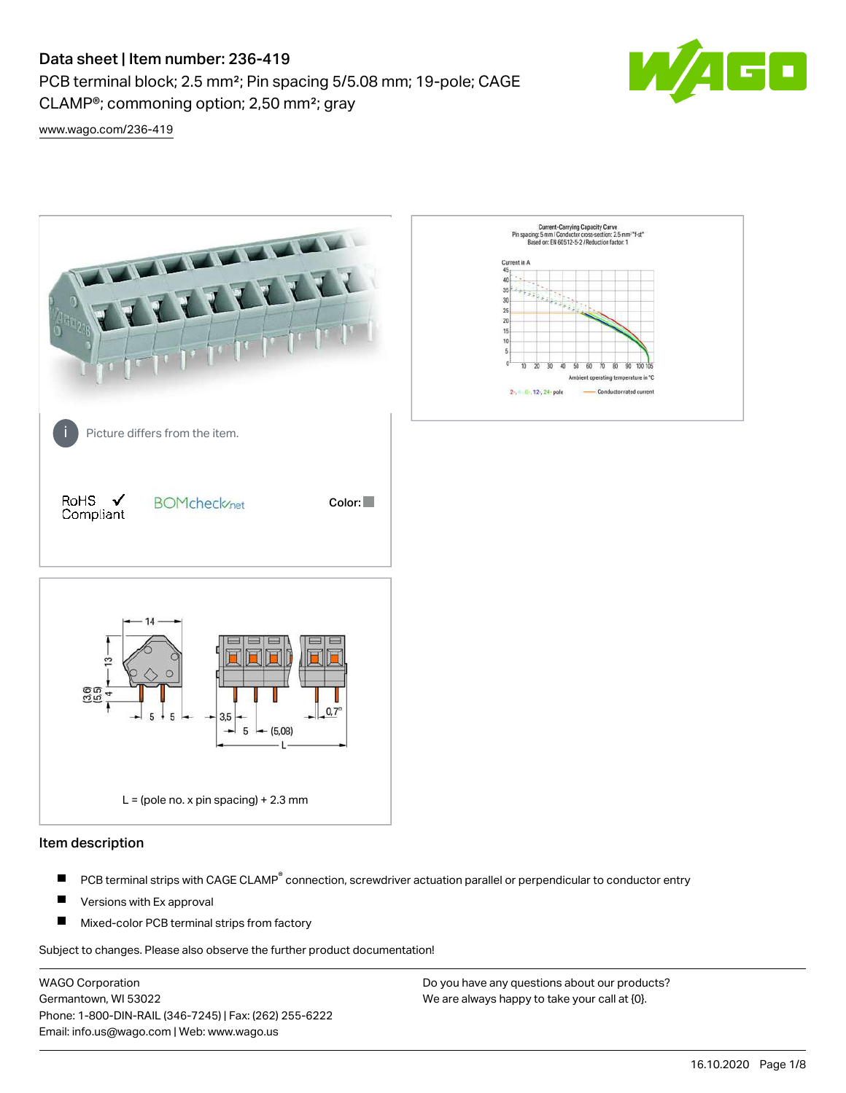# Data sheet | Item number: 236-419

CLAMP®; commoning option; 2,50 mm²; gray

PCB terminal block; 2.5 mm²; Pin spacing 5/5.08 mm; 19-pole; CAGE



[www.wago.com/236-419](http://www.wago.com/236-419)



#### Item description

- PCB terminal strips with CAGE CLAMP<sup>®</sup> connection, screwdriver actuation parallel or perpendicular to conductor entry П
- П Versions with Ex approval
- П Mixed-color PCB terminal strips from factory

Subject to changes. Please also observe the further product documentation!

WAGO Corporation Germantown, WI 53022 Phone: 1-800-DIN-RAIL (346-7245) | Fax: (262) 255-6222 Email: info.us@wago.com | Web: www.wago.us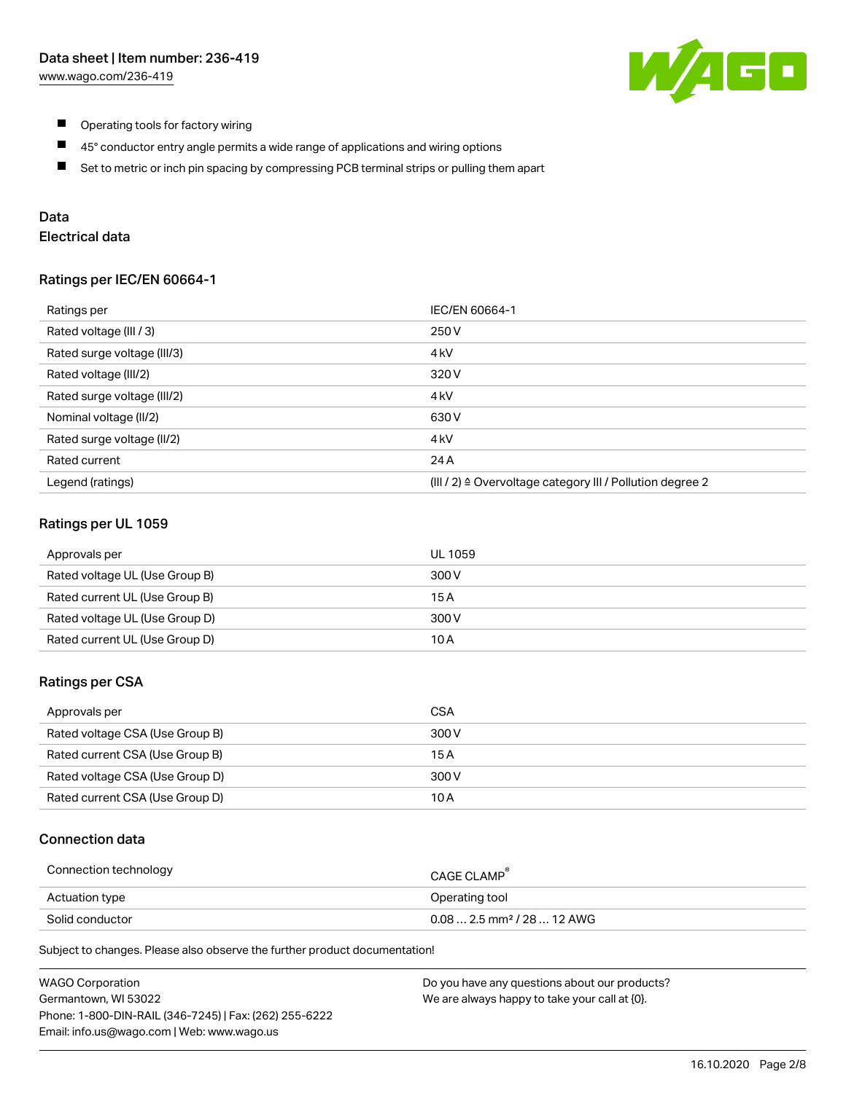

- $\blacksquare$ Operating tools for factory wiring
- $\blacksquare$ 45° conductor entry angle permits a wide range of applications and wiring options
- $\blacksquare$ Set to metric or inch pin spacing by compressing PCB terminal strips or pulling them apart

### Data

## Electrical data

#### Ratings per IEC/EN 60664-1

| Ratings per                 | IEC/EN 60664-1                                                        |
|-----------------------------|-----------------------------------------------------------------------|
| Rated voltage (III / 3)     | 250 V                                                                 |
| Rated surge voltage (III/3) | 4 <sub>k</sub> V                                                      |
| Rated voltage (III/2)       | 320 V                                                                 |
| Rated surge voltage (III/2) | 4 <sub>k</sub> V                                                      |
| Nominal voltage (II/2)      | 630 V                                                                 |
| Rated surge voltage (II/2)  | 4 <sub>k</sub> V                                                      |
| Rated current               | 24 A                                                                  |
| Legend (ratings)            | $(III / 2)$ $\triangle$ Overvoltage category III / Pollution degree 2 |

### Ratings per UL 1059

| Approvals per                  | UL 1059 |
|--------------------------------|---------|
| Rated voltage UL (Use Group B) | 300 V   |
| Rated current UL (Use Group B) | 15 A    |
| Rated voltage UL (Use Group D) | 300 V   |
| Rated current UL (Use Group D) | 10 A    |

#### Ratings per CSA

| Approvals per                   | CSA   |
|---------------------------------|-------|
| Rated voltage CSA (Use Group B) | 300 V |
| Rated current CSA (Use Group B) | 15 A  |
| Rated voltage CSA (Use Group D) | 300 V |
| Rated current CSA (Use Group D) | 10 A  |

#### Connection data

| Connection technology | CAGE CLAMP                              |
|-----------------------|-----------------------------------------|
| Actuation type        | Operating tool                          |
| Solid conductor       | $0.08$ 2.5 mm <sup>2</sup> / 28  12 AWG |

Subject to changes. Please also observe the further product documentation!

| <b>WAGO Corporation</b>                                | Do you have any questions about our products? |
|--------------------------------------------------------|-----------------------------------------------|
| Germantown, WI 53022                                   | We are always happy to take your call at {0}. |
| Phone: 1-800-DIN-RAIL (346-7245)   Fax: (262) 255-6222 |                                               |
| Email: info.us@wago.com   Web: www.wago.us             |                                               |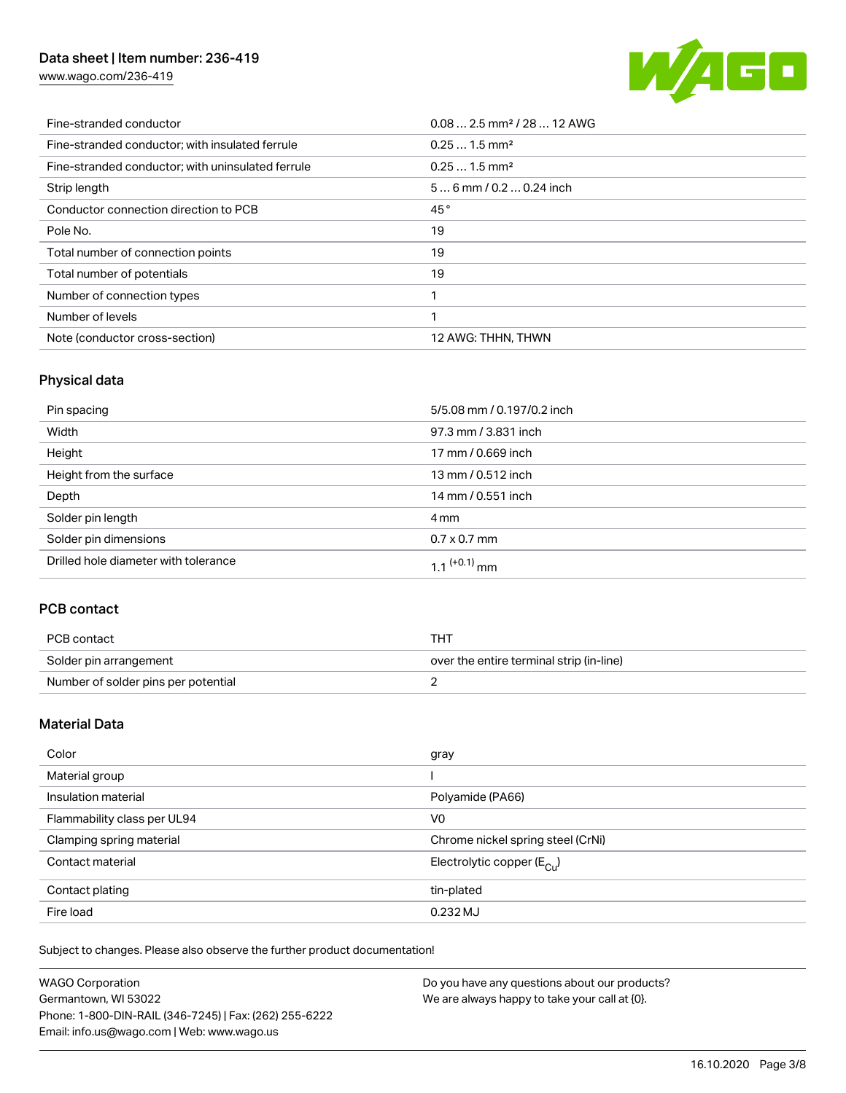## Data sheet | Item number: 236-419

[www.wago.com/236-419](http://www.wago.com/236-419)



| Fine-stranded conductor                           | $0.08$ 2.5 mm <sup>2</sup> / 28  12 AWG |
|---------------------------------------------------|-----------------------------------------|
| Fine-stranded conductor; with insulated ferrule   | $0.251.5$ mm <sup>2</sup>               |
| Fine-stranded conductor; with uninsulated ferrule | $0.251.5$ mm <sup>2</sup>               |
| Strip length                                      | $56$ mm / 0.2  0.24 inch                |
| Conductor connection direction to PCB             | 45°                                     |
| Pole No.                                          | 19                                      |
| Total number of connection points                 | 19                                      |
| Total number of potentials                        | 19                                      |
| Number of connection types                        |                                         |
| Number of levels                                  |                                         |
| Note (conductor cross-section)                    | 12 AWG: THHN, THWN                      |

## Physical data

| Pin spacing                          | 5/5.08 mm / 0.197/0.2 inch |
|--------------------------------------|----------------------------|
| Width                                | 97.3 mm / 3.831 inch       |
| Height                               | 17 mm / 0.669 inch         |
| Height from the surface              | 13 mm / 0.512 inch         |
| Depth                                | 14 mm / 0.551 inch         |
| Solder pin length                    | 4 mm                       |
| Solder pin dimensions                | $0.7 \times 0.7$ mm        |
| Drilled hole diameter with tolerance | $1.1$ <sup>(+0.1)</sup> mm |

## PCB contact

| PCB contact                         | тнт                                      |
|-------------------------------------|------------------------------------------|
| Solder pin arrangement              | over the entire terminal strip (in-line) |
| Number of solder pins per potential |                                          |

### Material Data

| Color                       | gray                                  |
|-----------------------------|---------------------------------------|
| Material group              |                                       |
| Insulation material         | Polyamide (PA66)                      |
| Flammability class per UL94 | V <sub>0</sub>                        |
| Clamping spring material    | Chrome nickel spring steel (CrNi)     |
| Contact material            | Electrolytic copper $(E_{\text{CL}})$ |
| Contact plating             | tin-plated                            |
| Fire load                   | $0.232$ MJ                            |

Subject to changes. Please also observe the further product documentation!

| <b>WAGO Corporation</b>                                | Do you have any questions about our products? |
|--------------------------------------------------------|-----------------------------------------------|
| Germantown, WI 53022                                   | We are always happy to take your call at {0}. |
| Phone: 1-800-DIN-RAIL (346-7245)   Fax: (262) 255-6222 |                                               |
| Email: info.us@wago.com   Web: www.wago.us             |                                               |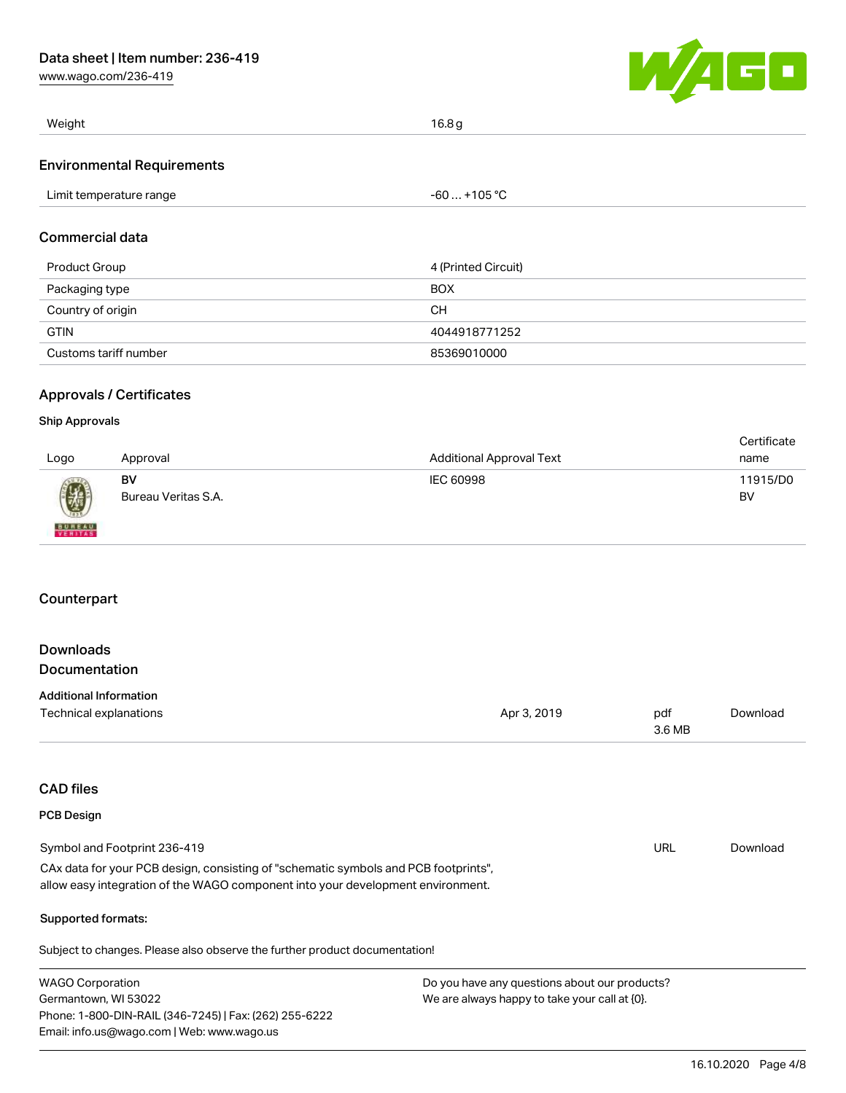[www.wago.com/236-419](http://www.wago.com/236-419)



| Weight                            | 16.8 g       |  |
|-----------------------------------|--------------|--|
| <b>Environmental Requirements</b> |              |  |
| Limit temperature range           | -60  +105 °C |  |

#### Commercial data

| Product Group         | 4 (Printed Circuit) |
|-----------------------|---------------------|
| Packaging type        | <b>BOX</b>          |
| Country of origin     | CН                  |
| <b>GTIN</b>           | 4044918771252       |
| Customs tariff number | 85369010000         |

### Approvals / Certificates

#### Ship Approvals

| Logo                     | Approval            | <b>Additional Approval Text</b> | Certificate<br>name |
|--------------------------|---------------------|---------------------------------|---------------------|
|                          | BV                  | IEC 60998                       | 11915/D0            |
| 0                        | Bureau Veritas S.A. |                                 | BV                  |
| <b>BUREAU</b><br>VERITAS |                     |                                 |                     |

### **Counterpart**

### Downloads Documentation

| <b>Additional Information</b> |             |        |          |
|-------------------------------|-------------|--------|----------|
| Technical explanations        | Apr 3, 2019 | pdf    | Download |
|                               |             | 3.6 MB |          |

## CAD files

### PCB Design

| Symbol and Footprint 236-419                                                        | URL | Download |
|-------------------------------------------------------------------------------------|-----|----------|
| CAx data for your PCB design, consisting of "schematic symbols and PCB footprints", |     |          |
| allow easy integration of the WAGO component into your development environment.     |     |          |

#### Supported formats:

Subject to changes. Please also observe the further product documentation!

| <b>WAGO Corporation</b>                                | Do you have any questions about our products? |  |  |  |
|--------------------------------------------------------|-----------------------------------------------|--|--|--|
| Germantown, WI 53022                                   | We are always happy to take your call at {0}. |  |  |  |
| Phone: 1-800-DIN-RAIL (346-7245)   Fax: (262) 255-6222 |                                               |  |  |  |
| Email: info.us@wago.com   Web: www.wago.us             |                                               |  |  |  |
|                                                        |                                               |  |  |  |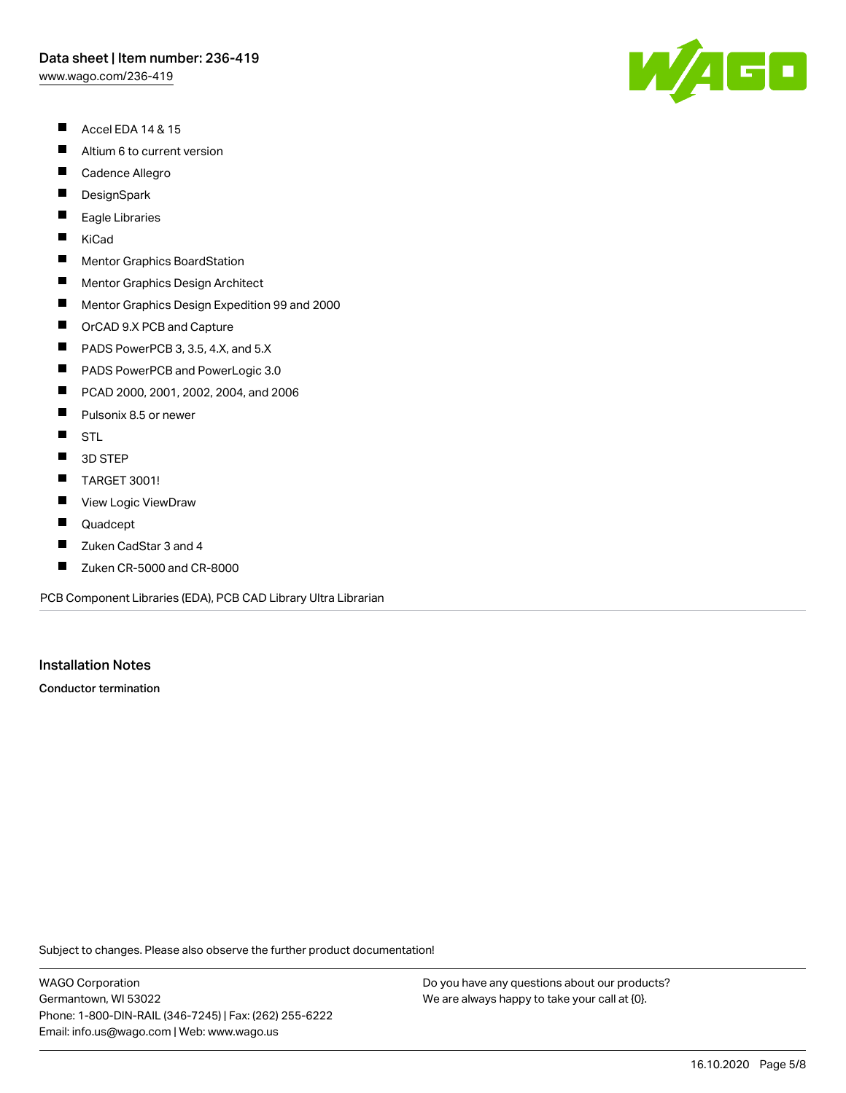## Data sheet | Item number: 236-419

[www.wago.com/236-419](http://www.wago.com/236-419)

- $\blacksquare$ Accel EDA 14 & 15
- $\blacksquare$ Altium 6 to current version
- П Cadence Allegro
- $\blacksquare$ **DesignSpark**
- $\blacksquare$ Eagle Libraries
- $\blacksquare$ KiCad
- $\blacksquare$ Mentor Graphics BoardStation
- $\blacksquare$ Mentor Graphics Design Architect
- $\blacksquare$ Mentor Graphics Design Expedition 99 and 2000
- $\blacksquare$ OrCAD 9.X PCB and Capture
- $\blacksquare$ PADS PowerPCB 3, 3.5, 4.X, and 5.X
- $\blacksquare$ PADS PowerPCB and PowerLogic 3.0
- $\blacksquare$ PCAD 2000, 2001, 2002, 2004, and 2006
- $\blacksquare$ Pulsonix 8.5 or newer
- $\blacksquare$ **STL**
- $\blacksquare$ 3D STEP
- $\blacksquare$ TARGET 3001!
- $\blacksquare$ View Logic ViewDraw
- $\blacksquare$ Quadcept
- $\blacksquare$ Zuken CadStar 3 and 4
- $\blacksquare$ Zuken CR-5000 and CR-8000

PCB Component Libraries (EDA), PCB CAD Library Ultra Librarian

Installation Notes

Conductor termination

Subject to changes. Please also observe the further product documentation!

WAGO Corporation Germantown, WI 53022 Phone: 1-800-DIN-RAIL (346-7245) | Fax: (262) 255-6222 Email: info.us@wago.com | Web: www.wago.us

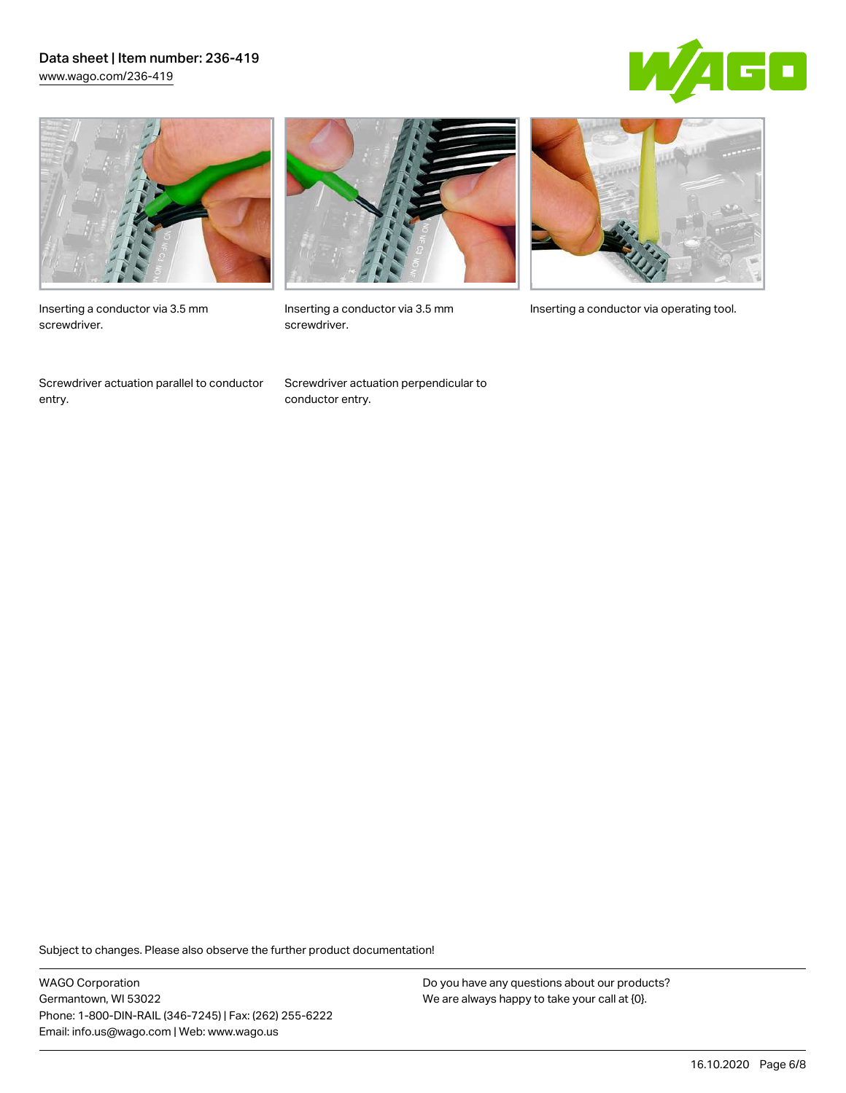### Data sheet | Item number: 236-419 [www.wago.com/236-419](http://www.wago.com/236-419)





Inserting a conductor via 3.5 mm screwdriver.

Screwdriver actuation parallel to conductor entry.



screwdriver.

Screwdriver actuation perpendicular to conductor entry.



Inserting a conductor via 3.5 mm Inserting a conductor via operating tool.

Subject to changes. Please also observe the further product documentation!

WAGO Corporation Germantown, WI 53022 Phone: 1-800-DIN-RAIL (346-7245) | Fax: (262) 255-6222 Email: info.us@wago.com | Web: www.wago.us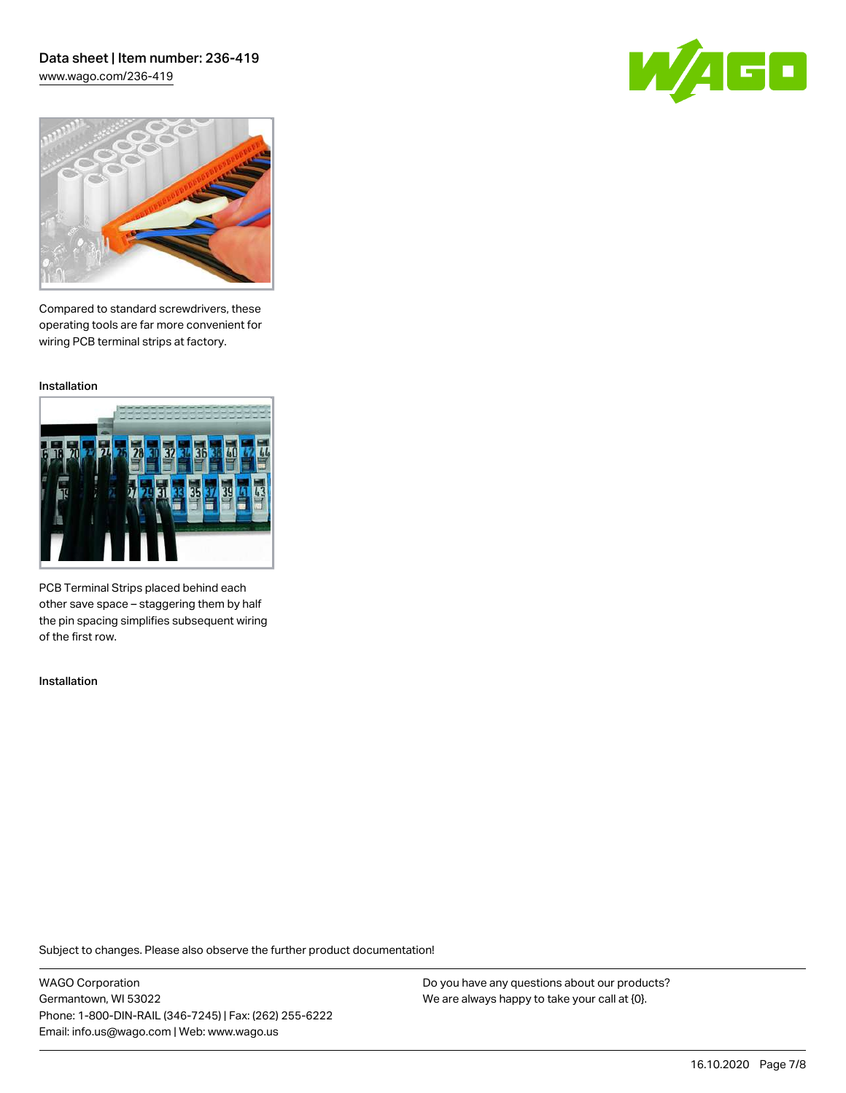### Data sheet | Item number: 236-419 [www.wago.com/236-419](http://www.wago.com/236-419)

60



Compared to standard screwdrivers, these operating tools are far more convenient for wiring PCB terminal strips at factory.

Installation



PCB Terminal Strips placed behind each other save space – staggering them by half the pin spacing simplifies subsequent wiring of the first row.

Installation

Subject to changes. Please also observe the further product documentation!

WAGO Corporation Germantown, WI 53022 Phone: 1-800-DIN-RAIL (346-7245) | Fax: (262) 255-6222 Email: info.us@wago.com | Web: www.wago.us